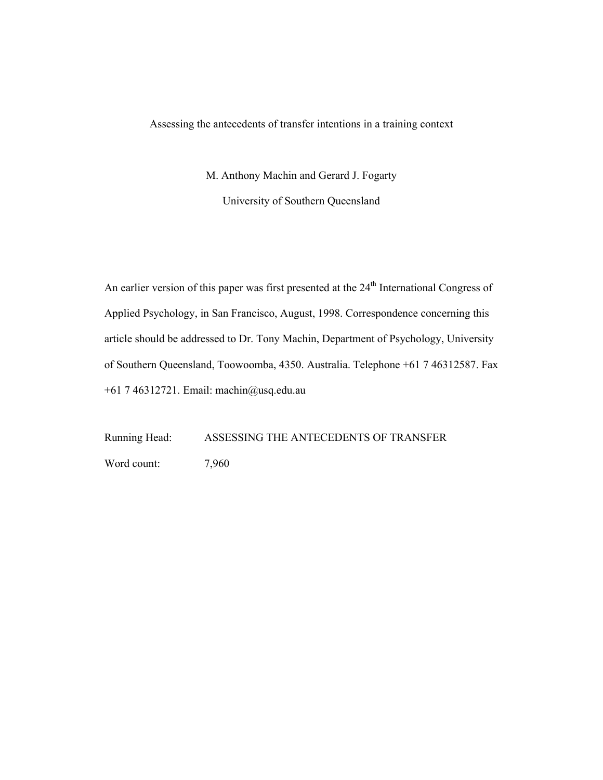Assessing the antecedents of transfer intentions in a training context

M. Anthony Machin and Gerard J. Fogarty University of Southern Queensland

An earlier version of this paper was first presented at the 24<sup>th</sup> International Congress of Applied Psychology, in San Francisco, August, 1998. Correspondence concerning this article should be addressed to Dr. Tony Machin, Department of Psychology, University of Southern Queensland, Toowoomba, 4350. Australia. Telephone +61 7 46312587. Fax +61 7 46312721. Email: machin@usq.edu.au

Running Head: ASSESSING THE ANTECEDENTS OF TRANSFER Word count: 7,960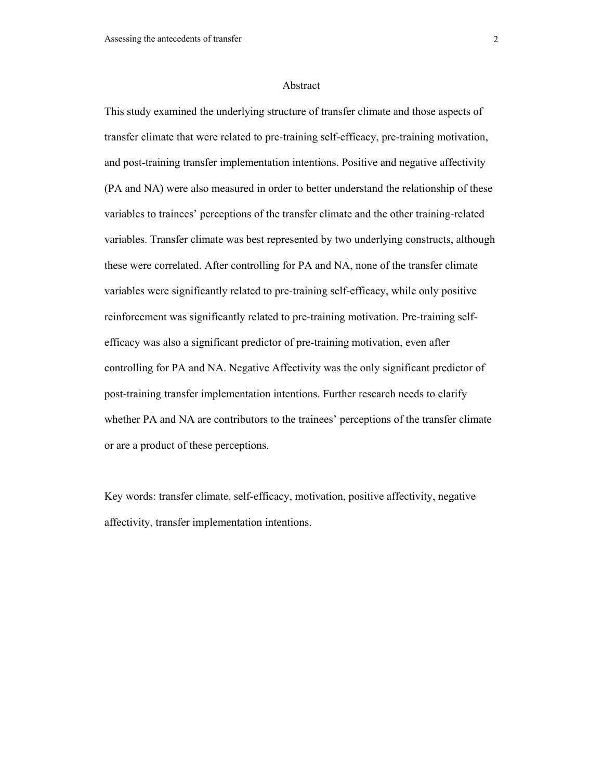#### Abstract

This study examined the underlying structure of transfer climate and those aspects of transfer climate that were related to pre-training self-efficacy, pre-training motivation, and post-training transfer implementation intentions. Positive and negative affectivity (PA and NA) were also measured in order to better understand the relationship of these variables to trainees' perceptions of the transfer climate and the other training-related variables. Transfer climate was best represented by two underlying constructs, although these were correlated. After controlling for PA and NA, none of the transfer climate variables were significantly related to pre-training self-efficacy, while only positive reinforcement was significantly related to pre-training motivation. Pre-training selfefficacy was also a significant predictor of pre-training motivation, even after controlling for PA and NA. Negative Affectivity was the only significant predictor of post-training transfer implementation intentions. Further research needs to clarify whether PA and NA are contributors to the trainees' perceptions of the transfer climate or are a product of these perceptions.

Key words: transfer climate, self-efficacy, motivation, positive affectivity, negative affectivity, transfer implementation intentions.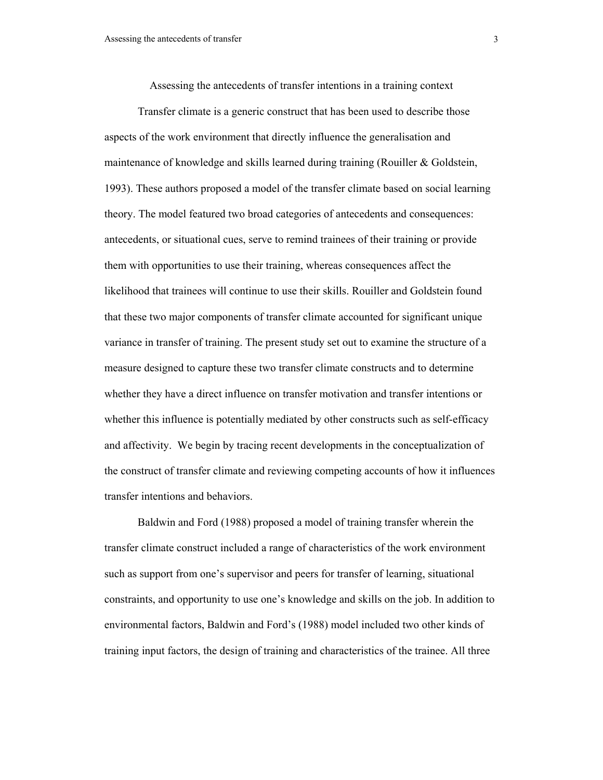Assessing the antecedents of transfer intentions in a training context

Transfer climate is a generic construct that has been used to describe those aspects of the work environment that directly influence the generalisation and maintenance of knowledge and skills learned during training (Rouiller & Goldstein, 1993). These authors proposed a model of the transfer climate based on social learning theory. The model featured two broad categories of antecedents and consequences: antecedents, or situational cues, serve to remind trainees of their training or provide them with opportunities to use their training, whereas consequences affect the likelihood that trainees will continue to use their skills. Rouiller and Goldstein found that these two major components of transfer climate accounted for significant unique variance in transfer of training. The present study set out to examine the structure of a measure designed to capture these two transfer climate constructs and to determine whether they have a direct influence on transfer motivation and transfer intentions or whether this influence is potentially mediated by other constructs such as self-efficacy and affectivity. We begin by tracing recent developments in the conceptualization of the construct of transfer climate and reviewing competing accounts of how it influences transfer intentions and behaviors.

Baldwin and Ford (1988) proposed a model of training transfer wherein the transfer climate construct included a range of characteristics of the work environment such as support from one's supervisor and peers for transfer of learning, situational constraints, and opportunity to use one's knowledge and skills on the job. In addition to environmental factors, Baldwin and Ford's (1988) model included two other kinds of training input factors, the design of training and characteristics of the trainee. All three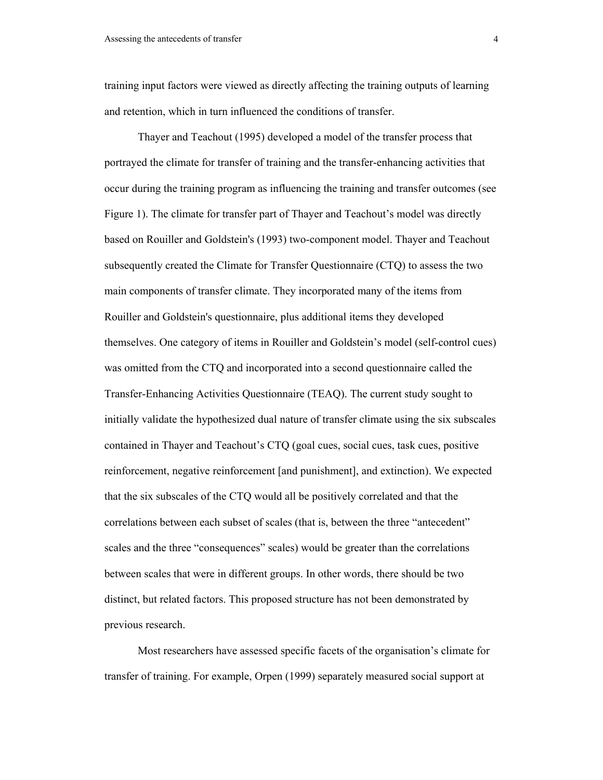training input factors were viewed as directly affecting the training outputs of learning and retention, which in turn influenced the conditions of transfer.

Thayer and Teachout (1995) developed a model of the transfer process that portrayed the climate for transfer of training and the transfer-enhancing activities that occur during the training program as influencing the training and transfer outcomes (see Figure 1). The climate for transfer part of Thayer and Teachout's model was directly based on Rouiller and Goldstein's (1993) two-component model. Thayer and Teachout subsequently created the Climate for Transfer Questionnaire (CTQ) to assess the two main components of transfer climate. They incorporated many of the items from Rouiller and Goldstein's questionnaire, plus additional items they developed themselves. One category of items in Rouiller and Goldstein's model (self-control cues) was omitted from the CTQ and incorporated into a second questionnaire called the Transfer-Enhancing Activities Questionnaire (TEAQ). The current study sought to initially validate the hypothesized dual nature of transfer climate using the six subscales contained in Thayer and Teachout's CTQ (goal cues, social cues, task cues, positive reinforcement, negative reinforcement [and punishment], and extinction). We expected that the six subscales of the CTQ would all be positively correlated and that the correlations between each subset of scales (that is, between the three "antecedent" scales and the three "consequences" scales) would be greater than the correlations between scales that were in different groups. In other words, there should be two distinct, but related factors. This proposed structure has not been demonstrated by previous research.

Most researchers have assessed specific facets of the organisation's climate for transfer of training. For example, Orpen (1999) separately measured social support at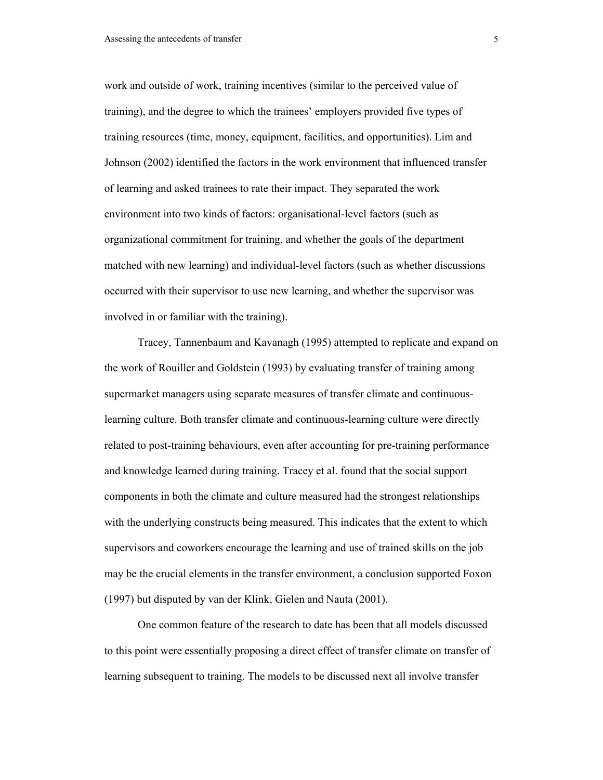work and outside of work, training incentives (similar to the perceived value of training), and the degree to which the trainees' employers provided five types of training resources (time, money, equipment, facilities, and opportunities). Lim and Johnson (2002) identified the factors in the work environment that influenced transfer of learning and asked trainees to rate their impact. They separated the work environment into two kinds of factors: organisational-level factors (such as organizational commitment for training, and whether the goals of the department matched with new learning) and individual-level factors (such as whether discussions occurred with their supervisor to use new learning, and whether the supervisor was involved in or familiar with the training).

Tracey, Tannenbaum and Kavanagh (1995) attempted to replicate and expand on the work of Rouiller and Goldstein (1993) by evaluating transfer of training among supermarket managers using separate measures of transfer climate and continuouslearning culture. Both transfer climate and continuous-learning culture were directly related to post-training behaviours, even after accounting for pre-training performance and knowledge learned during training. Tracey et al. found that the social support components in both the climate and culture measured had the strongest relationships with the underlying constructs being measured. This indicates that the extent to which supervisors and coworkers encourage the learning and use of trained skills on the job may be the crucial elements in the transfer environment, a conclusion supported Foxon (1997) but disputed by van der Klink, Gielen and Nauta (2001).

One common feature of the research to date has been that all models discussed to this point were essentially proposing a direct effect of transfer climate on transfer of learning subsequent to training. The models to be discussed next all involve transfer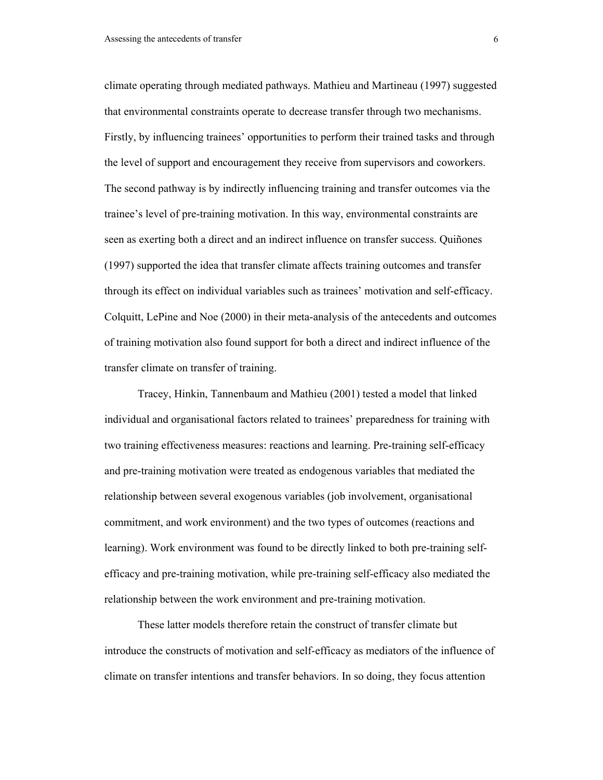climate operating through mediated pathways. Mathieu and Martineau (1997) suggested that environmental constraints operate to decrease transfer through two mechanisms. Firstly, by influencing trainees' opportunities to perform their trained tasks and through the level of support and encouragement they receive from supervisors and coworkers. The second pathway is by indirectly influencing training and transfer outcomes via the trainee's level of pre-training motivation. In this way, environmental constraints are seen as exerting both a direct and an indirect influence on transfer success. Quiñones (1997) supported the idea that transfer climate affects training outcomes and transfer through its effect on individual variables such as trainees' motivation and self-efficacy. Colquitt, LePine and Noe (2000) in their meta-analysis of the antecedents and outcomes of training motivation also found support for both a direct and indirect influence of the transfer climate on transfer of training.

Tracey, Hinkin, Tannenbaum and Mathieu (2001) tested a model that linked individual and organisational factors related to trainees' preparedness for training with two training effectiveness measures: reactions and learning. Pre-training self-efficacy and pre-training motivation were treated as endogenous variables that mediated the relationship between several exogenous variables (job involvement, organisational commitment, and work environment) and the two types of outcomes (reactions and learning). Work environment was found to be directly linked to both pre-training selfefficacy and pre-training motivation, while pre-training self-efficacy also mediated the relationship between the work environment and pre-training motivation.

These latter models therefore retain the construct of transfer climate but introduce the constructs of motivation and self-efficacy as mediators of the influence of climate on transfer intentions and transfer behaviors. In so doing, they focus attention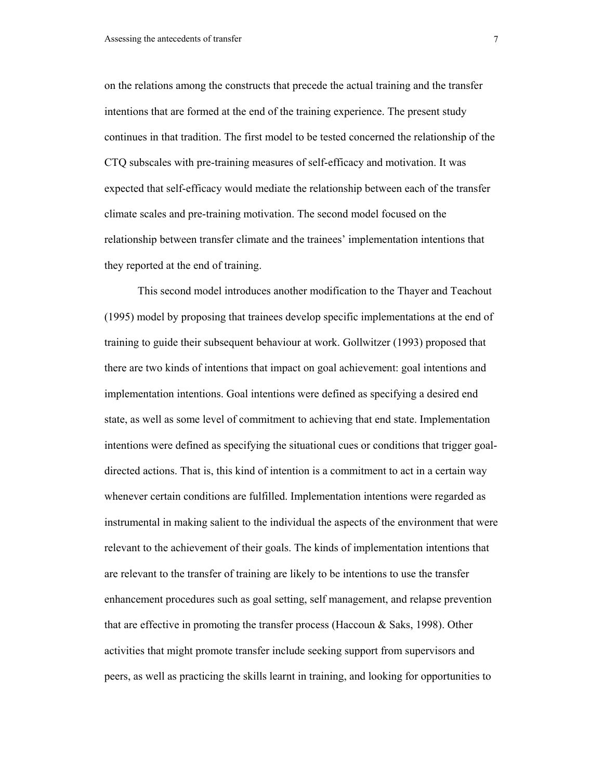on the relations among the constructs that precede the actual training and the transfer intentions that are formed at the end of the training experience. The present study continues in that tradition. The first model to be tested concerned the relationship of the CTQ subscales with pre-training measures of self-efficacy and motivation. It was expected that self-efficacy would mediate the relationship between each of the transfer climate scales and pre-training motivation. The second model focused on the relationship between transfer climate and the trainees' implementation intentions that they reported at the end of training.

This second model introduces another modification to the Thayer and Teachout (1995) model by proposing that trainees develop specific implementations at the end of training to guide their subsequent behaviour at work. Gollwitzer (1993) proposed that there are two kinds of intentions that impact on goal achievement: goal intentions and implementation intentions. Goal intentions were defined as specifying a desired end state, as well as some level of commitment to achieving that end state. Implementation intentions were defined as specifying the situational cues or conditions that trigger goaldirected actions. That is, this kind of intention is a commitment to act in a certain way whenever certain conditions are fulfilled. Implementation intentions were regarded as instrumental in making salient to the individual the aspects of the environment that were relevant to the achievement of their goals. The kinds of implementation intentions that are relevant to the transfer of training are likely to be intentions to use the transfer enhancement procedures such as goal setting, self management, and relapse prevention that are effective in promoting the transfer process (Haccoun  $\&$  Saks, 1998). Other activities that might promote transfer include seeking support from supervisors and peers, as well as practicing the skills learnt in training, and looking for opportunities to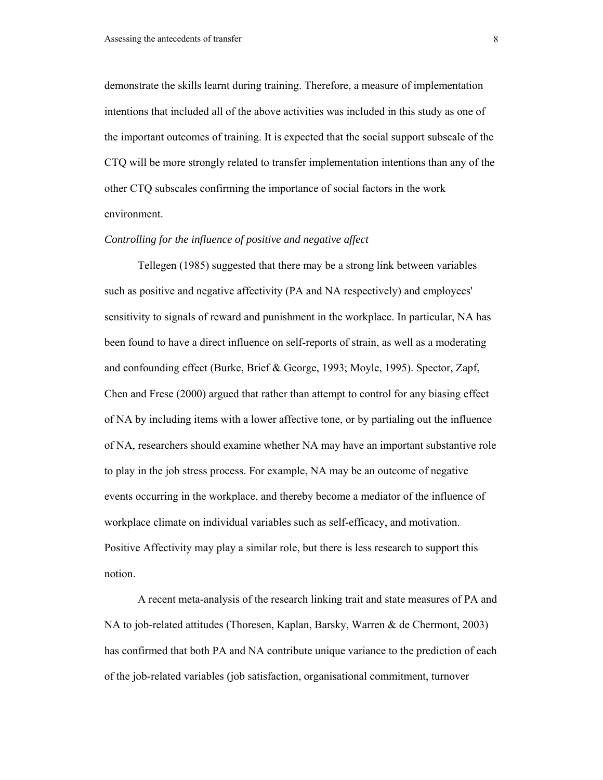demonstrate the skills learnt during training. Therefore, a measure of implementation intentions that included all of the above activities was included in this study as one of the important outcomes of training. It is expected that the social support subscale of the CTQ will be more strongly related to transfer implementation intentions than any of the other CTQ subscales confirming the importance of social factors in the work environment.

#### *Controlling for the influence of positive and negative affect*

Tellegen (1985) suggested that there may be a strong link between variables such as positive and negative affectivity (PA and NA respectively) and employees' sensitivity to signals of reward and punishment in the workplace. In particular, NA has been found to have a direct influence on self-reports of strain, as well as a moderating and confounding effect (Burke, Brief & George, 1993; Moyle, 1995). Spector, Zapf, Chen and Frese (2000) argued that rather than attempt to control for any biasing effect of NA by including items with a lower affective tone, or by partialing out the influence of NA, researchers should examine whether NA may have an important substantive role to play in the job stress process. For example, NA may be an outcome of negative events occurring in the workplace, and thereby become a mediator of the influence of workplace climate on individual variables such as self-efficacy, and motivation. Positive Affectivity may play a similar role, but there is less research to support this notion.

A recent meta-analysis of the research linking trait and state measures of PA and NA to job-related attitudes (Thoresen, Kaplan, Barsky, Warren & de Chermont, 2003) has confirmed that both PA and NA contribute unique variance to the prediction of each of the job-related variables (job satisfaction, organisational commitment, turnover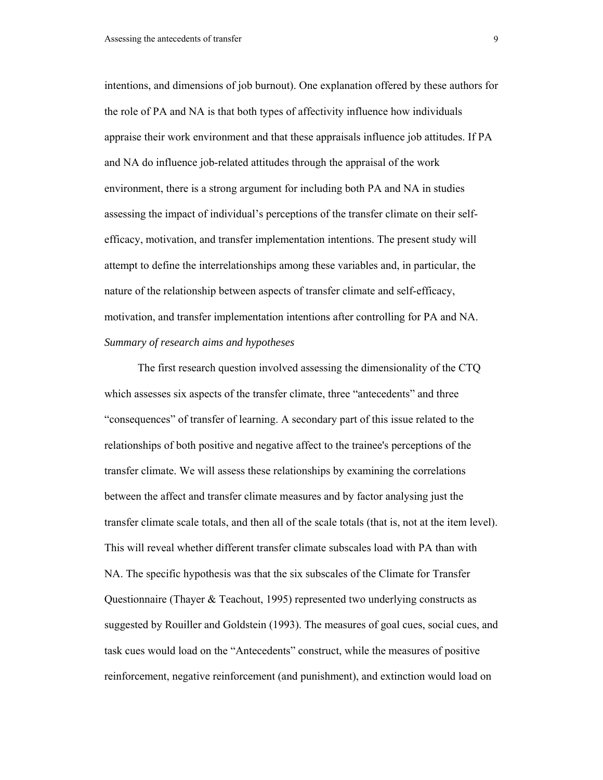intentions, and dimensions of job burnout). One explanation offered by these authors for the role of PA and NA is that both types of affectivity influence how individuals appraise their work environment and that these appraisals influence job attitudes. If PA and NA do influence job-related attitudes through the appraisal of the work environment, there is a strong argument for including both PA and NA in studies assessing the impact of individual's perceptions of the transfer climate on their selfefficacy, motivation, and transfer implementation intentions. The present study will attempt to define the interrelationships among these variables and, in particular, the nature of the relationship between aspects of transfer climate and self-efficacy, motivation, and transfer implementation intentions after controlling for PA and NA. *Summary of research aims and hypotheses* 

The first research question involved assessing the dimensionality of the CTQ which assesses six aspects of the transfer climate, three "antecedents" and three "consequences" of transfer of learning. A secondary part of this issue related to the relationships of both positive and negative affect to the trainee's perceptions of the transfer climate. We will assess these relationships by examining the correlations between the affect and transfer climate measures and by factor analysing just the transfer climate scale totals, and then all of the scale totals (that is, not at the item level). This will reveal whether different transfer climate subscales load with PA than with NA. The specific hypothesis was that the six subscales of the Climate for Transfer Questionnaire (Thayer & Teachout, 1995) represented two underlying constructs as suggested by Rouiller and Goldstein (1993). The measures of goal cues, social cues, and task cues would load on the "Antecedents" construct, while the measures of positive reinforcement, negative reinforcement (and punishment), and extinction would load on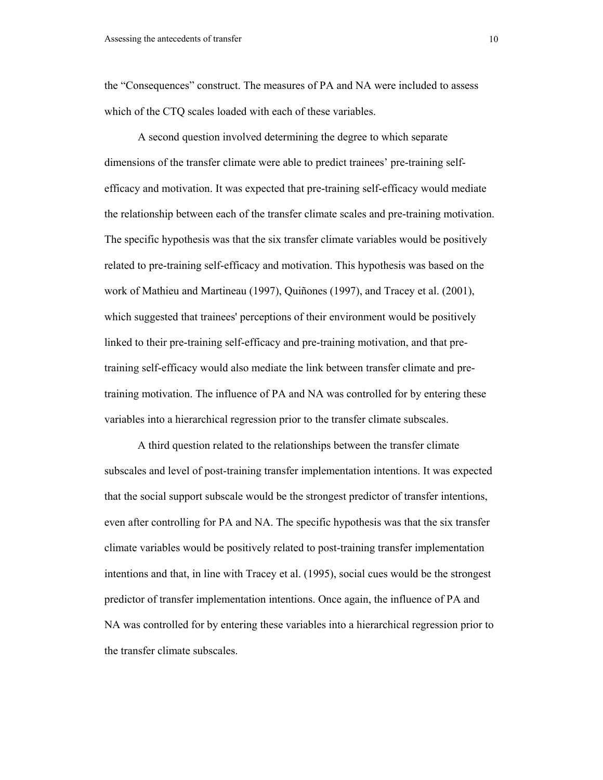the "Consequences" construct. The measures of PA and NA were included to assess which of the CTO scales loaded with each of these variables.

A second question involved determining the degree to which separate dimensions of the transfer climate were able to predict trainees' pre-training selfefficacy and motivation. It was expected that pre-training self-efficacy would mediate the relationship between each of the transfer climate scales and pre-training motivation. The specific hypothesis was that the six transfer climate variables would be positively related to pre-training self-efficacy and motivation. This hypothesis was based on the work of Mathieu and Martineau (1997), Quiñones (1997), and Tracey et al. (2001), which suggested that trainees' perceptions of their environment would be positively linked to their pre-training self-efficacy and pre-training motivation, and that pretraining self-efficacy would also mediate the link between transfer climate and pretraining motivation. The influence of PA and NA was controlled for by entering these variables into a hierarchical regression prior to the transfer climate subscales.

A third question related to the relationships between the transfer climate subscales and level of post-training transfer implementation intentions. It was expected that the social support subscale would be the strongest predictor of transfer intentions, even after controlling for PA and NA. The specific hypothesis was that the six transfer climate variables would be positively related to post-training transfer implementation intentions and that, in line with Tracey et al. (1995), social cues would be the strongest predictor of transfer implementation intentions. Once again, the influence of PA and NA was controlled for by entering these variables into a hierarchical regression prior to the transfer climate subscales.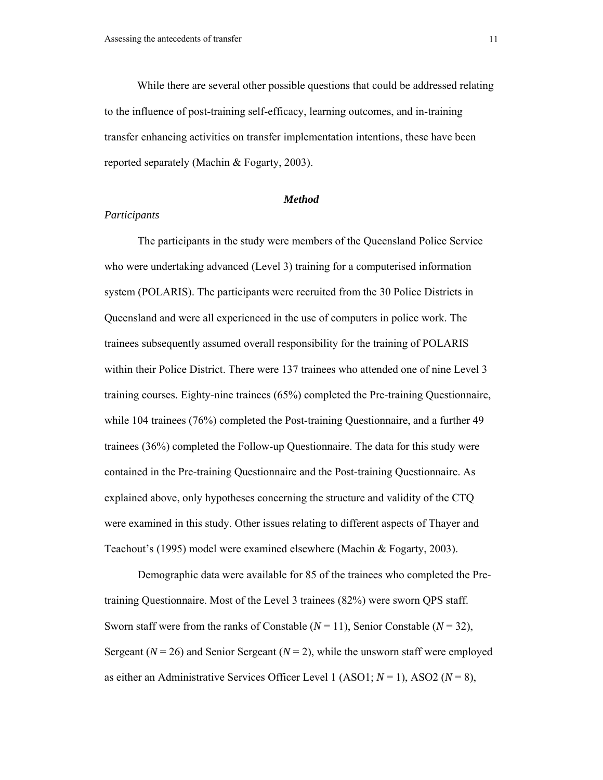While there are several other possible questions that could be addressed relating to the influence of post-training self-efficacy, learning outcomes, and in-training transfer enhancing activities on transfer implementation intentions, these have been reported separately (Machin & Fogarty, 2003).

#### *Method*

#### *Participants*

The participants in the study were members of the Queensland Police Service who were undertaking advanced (Level 3) training for a computerised information system (POLARIS). The participants were recruited from the 30 Police Districts in Queensland and were all experienced in the use of computers in police work. The trainees subsequently assumed overall responsibility for the training of POLARIS within their Police District. There were 137 trainees who attended one of nine Level 3 training courses. Eighty-nine trainees (65%) completed the Pre-training Questionnaire, while 104 trainees (76%) completed the Post-training Questionnaire, and a further 49 trainees (36%) completed the Follow-up Questionnaire. The data for this study were contained in the Pre-training Questionnaire and the Post-training Questionnaire. As explained above, only hypotheses concerning the structure and validity of the CTQ were examined in this study. Other issues relating to different aspects of Thayer and Teachout's (1995) model were examined elsewhere (Machin & Fogarty, 2003).

Demographic data were available for 85 of the trainees who completed the Pretraining Questionnaire. Most of the Level 3 trainees (82%) were sworn QPS staff. Sworn staff were from the ranks of Constable  $(N = 11)$ , Senior Constable  $(N = 32)$ , Sergeant ( $N = 26$ ) and Senior Sergeant ( $N = 2$ ), while the unsworn staff were employed as either an Administrative Services Officer Level 1 (ASO1; *N* = 1), ASO2 (*N* = 8),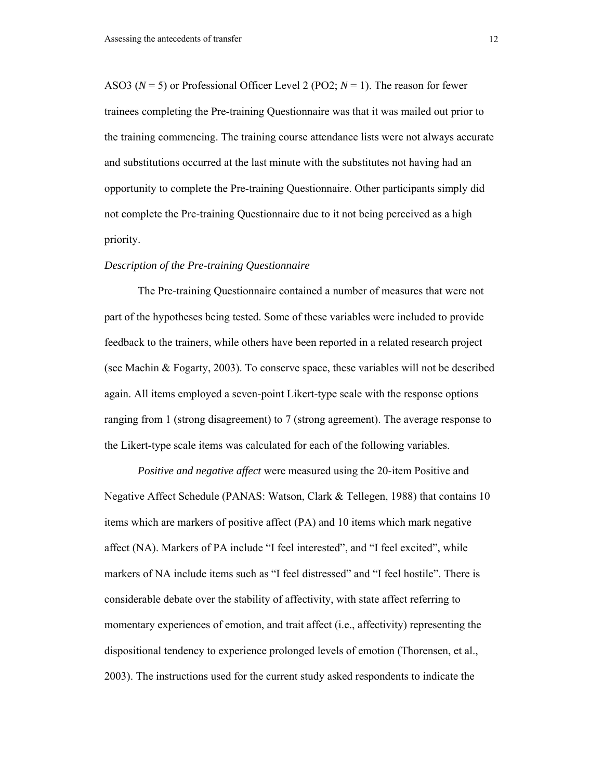ASO3 ( $N = 5$ ) or Professional Officer Level 2 (PO2;  $N = 1$ ). The reason for fewer trainees completing the Pre-training Questionnaire was that it was mailed out prior to the training commencing. The training course attendance lists were not always accurate and substitutions occurred at the last minute with the substitutes not having had an opportunity to complete the Pre-training Questionnaire. Other participants simply did not complete the Pre-training Questionnaire due to it not being perceived as a high priority.

#### *Description of the Pre-training Questionnaire*

The Pre-training Questionnaire contained a number of measures that were not part of the hypotheses being tested. Some of these variables were included to provide feedback to the trainers, while others have been reported in a related research project (see Machin & Fogarty, 2003). To conserve space, these variables will not be described again. All items employed a seven-point Likert-type scale with the response options ranging from 1 (strong disagreement) to 7 (strong agreement). The average response to the Likert-type scale items was calculated for each of the following variables.

*Positive and negative affect* were measured using the 20-item Positive and Negative Affect Schedule (PANAS: Watson, Clark & Tellegen, 1988) that contains 10 items which are markers of positive affect (PA) and 10 items which mark negative affect (NA). Markers of PA include "I feel interested", and "I feel excited", while markers of NA include items such as "I feel distressed" and "I feel hostile". There is considerable debate over the stability of affectivity, with state affect referring to momentary experiences of emotion, and trait affect (i.e., affectivity) representing the dispositional tendency to experience prolonged levels of emotion (Thorensen, et al., 2003). The instructions used for the current study asked respondents to indicate the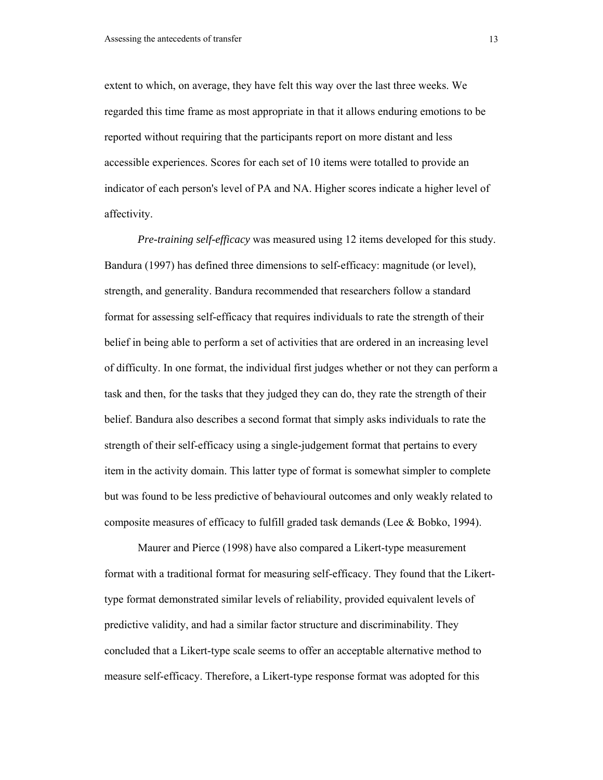extent to which, on average, they have felt this way over the last three weeks. We regarded this time frame as most appropriate in that it allows enduring emotions to be reported without requiring that the participants report on more distant and less accessible experiences. Scores for each set of 10 items were totalled to provide an indicator of each person's level of PA and NA. Higher scores indicate a higher level of affectivity.

*Pre-training self-efficacy* was measured using 12 items developed for this study. Bandura (1997) has defined three dimensions to self-efficacy: magnitude (or level), strength, and generality. Bandura recommended that researchers follow a standard format for assessing self-efficacy that requires individuals to rate the strength of their belief in being able to perform a set of activities that are ordered in an increasing level of difficulty. In one format, the individual first judges whether or not they can perform a task and then, for the tasks that they judged they can do, they rate the strength of their belief. Bandura also describes a second format that simply asks individuals to rate the strength of their self-efficacy using a single-judgement format that pertains to every item in the activity domain. This latter type of format is somewhat simpler to complete but was found to be less predictive of behavioural outcomes and only weakly related to composite measures of efficacy to fulfill graded task demands (Lee & Bobko, 1994).

Maurer and Pierce (1998) have also compared a Likert-type measurement format with a traditional format for measuring self-efficacy. They found that the Likerttype format demonstrated similar levels of reliability, provided equivalent levels of predictive validity, and had a similar factor structure and discriminability. They concluded that a Likert-type scale seems to offer an acceptable alternative method to measure self-efficacy. Therefore, a Likert-type response format was adopted for this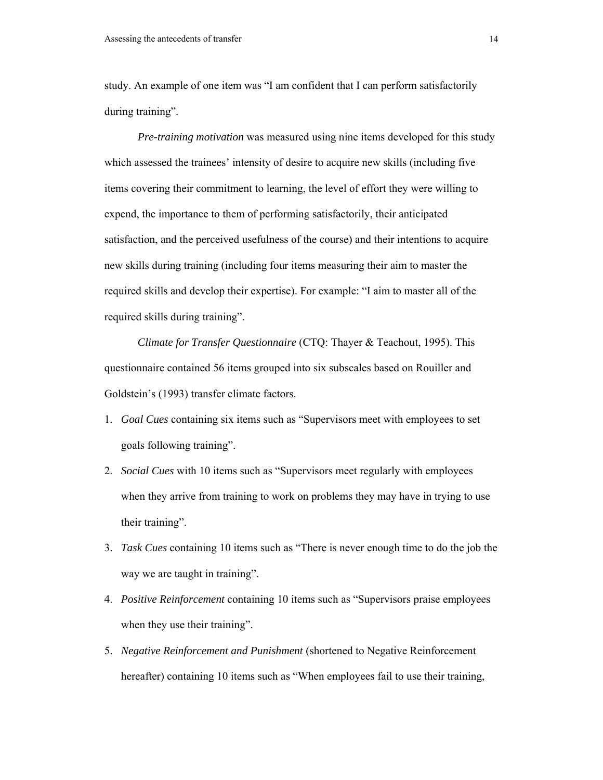study. An example of one item was "I am confident that I can perform satisfactorily during training".

*Pre-training motivation* was measured using nine items developed for this study which assessed the trainees' intensity of desire to acquire new skills (including five items covering their commitment to learning, the level of effort they were willing to expend, the importance to them of performing satisfactorily, their anticipated satisfaction, and the perceived usefulness of the course) and their intentions to acquire new skills during training (including four items measuring their aim to master the required skills and develop their expertise). For example: "I aim to master all of the required skills during training".

*Climate for Transfer Questionnaire* (CTQ: Thayer & Teachout, 1995). This questionnaire contained 56 items grouped into six subscales based on Rouiller and Goldstein's (1993) transfer climate factors.

- 1. *Goal Cues* containing six items such as "Supervisors meet with employees to set goals following training".
- 2. *Social Cues* with 10 items such as "Supervisors meet regularly with employees when they arrive from training to work on problems they may have in trying to use their training".
- 3. *Task Cues* containing 10 items such as "There is never enough time to do the job the way we are taught in training".
- 4. *Positive Reinforcement* containing 10 items such as "Supervisors praise employees when they use their training".
- 5. *Negative Reinforcement and Punishment* (shortened to Negative Reinforcement hereafter) containing 10 items such as "When employees fail to use their training,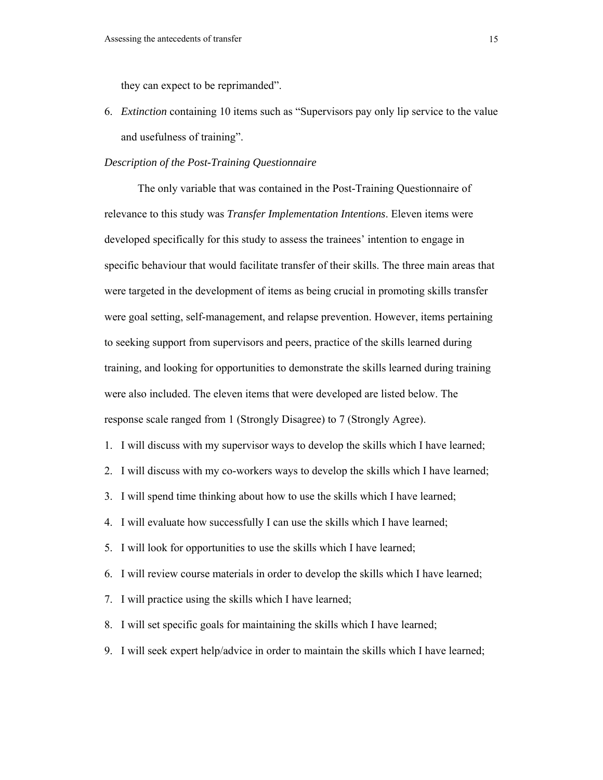they can expect to be reprimanded".

6. *Extinction* containing 10 items such as "Supervisors pay only lip service to the value and usefulness of training".

#### *Description of the Post-Training Questionnaire*

The only variable that was contained in the Post-Training Questionnaire of relevance to this study was *Transfer Implementation Intentions*. Eleven items were developed specifically for this study to assess the trainees' intention to engage in specific behaviour that would facilitate transfer of their skills. The three main areas that were targeted in the development of items as being crucial in promoting skills transfer were goal setting, self-management, and relapse prevention. However, items pertaining to seeking support from supervisors and peers, practice of the skills learned during training, and looking for opportunities to demonstrate the skills learned during training were also included. The eleven items that were developed are listed below. The response scale ranged from 1 (Strongly Disagree) to 7 (Strongly Agree).

- 1. I will discuss with my supervisor ways to develop the skills which I have learned;
- 2. I will discuss with my co-workers ways to develop the skills which I have learned;
- 3. I will spend time thinking about how to use the skills which I have learned;
- 4. I will evaluate how successfully I can use the skills which I have learned;
- 5. I will look for opportunities to use the skills which I have learned;
- 6. I will review course materials in order to develop the skills which I have learned;
- 7. I will practice using the skills which I have learned;
- 8. I will set specific goals for maintaining the skills which I have learned;
- 9. I will seek expert help/advice in order to maintain the skills which I have learned;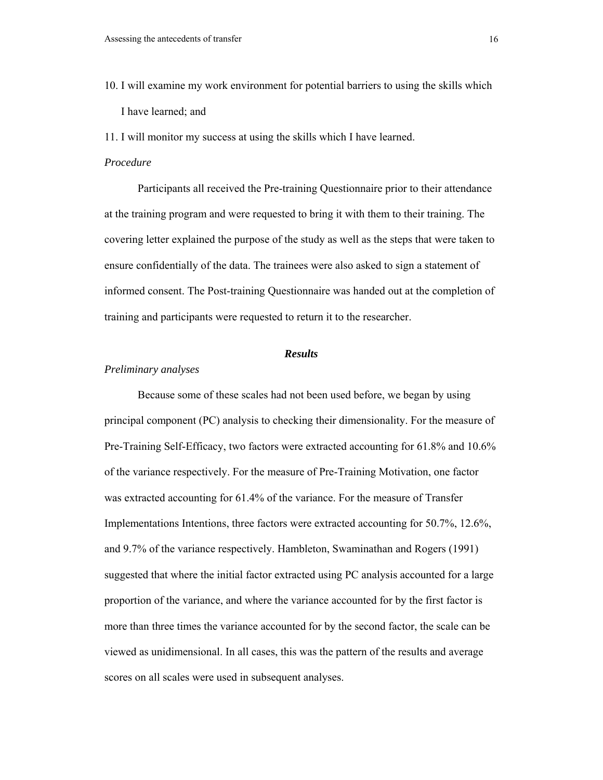10. I will examine my work environment for potential barriers to using the skills which I have learned; and

11. I will monitor my success at using the skills which I have learned.

### *Procedure*

Participants all received the Pre-training Questionnaire prior to their attendance at the training program and were requested to bring it with them to their training. The covering letter explained the purpose of the study as well as the steps that were taken to ensure confidentially of the data. The trainees were also asked to sign a statement of informed consent. The Post-training Questionnaire was handed out at the completion of training and participants were requested to return it to the researcher.

#### *Results*

#### *Preliminary analyses*

Because some of these scales had not been used before, we began by using principal component (PC) analysis to checking their dimensionality. For the measure of Pre-Training Self-Efficacy, two factors were extracted accounting for 61.8% and 10.6% of the variance respectively. For the measure of Pre-Training Motivation, one factor was extracted accounting for 61.4% of the variance. For the measure of Transfer Implementations Intentions, three factors were extracted accounting for 50.7%, 12.6%, and 9.7% of the variance respectively. Hambleton, Swaminathan and Rogers (1991) suggested that where the initial factor extracted using PC analysis accounted for a large proportion of the variance, and where the variance accounted for by the first factor is more than three times the variance accounted for by the second factor, the scale can be viewed as unidimensional. In all cases, this was the pattern of the results and average scores on all scales were used in subsequent analyses.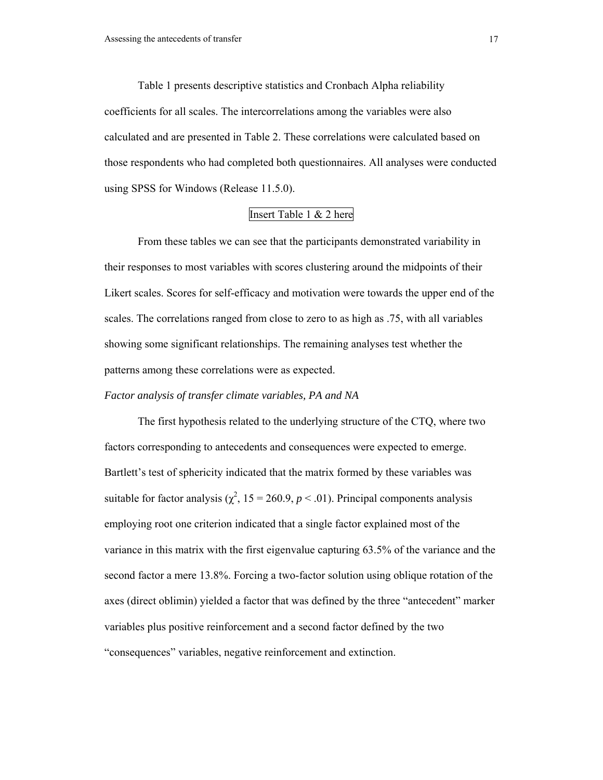Table 1 presents descriptive statistics and Cronbach Alpha reliability coefficients for all scales. The intercorrelations among the variables were also calculated and are presented in Table 2. These correlations were calculated based on those respondents who had completed both questionnaires. All analyses were conducted using SPSS for Windows (Release 11.5.0).

### Insert Table 1 & 2 here

From these tables we can see that the participants demonstrated variability in their responses to most variables with scores clustering around the midpoints of their Likert scales. Scores for self-efficacy and motivation were towards the upper end of the scales. The correlations ranged from close to zero to as high as .75, with all variables showing some significant relationships. The remaining analyses test whether the patterns among these correlations were as expected.

#### *Factor analysis of transfer climate variables, PA and NA*

The first hypothesis related to the underlying structure of the CTQ, where two factors corresponding to antecedents and consequences were expected to emerge. Bartlett's test of sphericity indicated that the matrix formed by these variables was suitable for factor analysis ( $\chi^2$ , 15 = 260.9, *p* < .01). Principal components analysis employing root one criterion indicated that a single factor explained most of the variance in this matrix with the first eigenvalue capturing 63.5% of the variance and the second factor a mere 13.8%. Forcing a two-factor solution using oblique rotation of the axes (direct oblimin) yielded a factor that was defined by the three "antecedent" marker variables plus positive reinforcement and a second factor defined by the two "consequences" variables, negative reinforcement and extinction.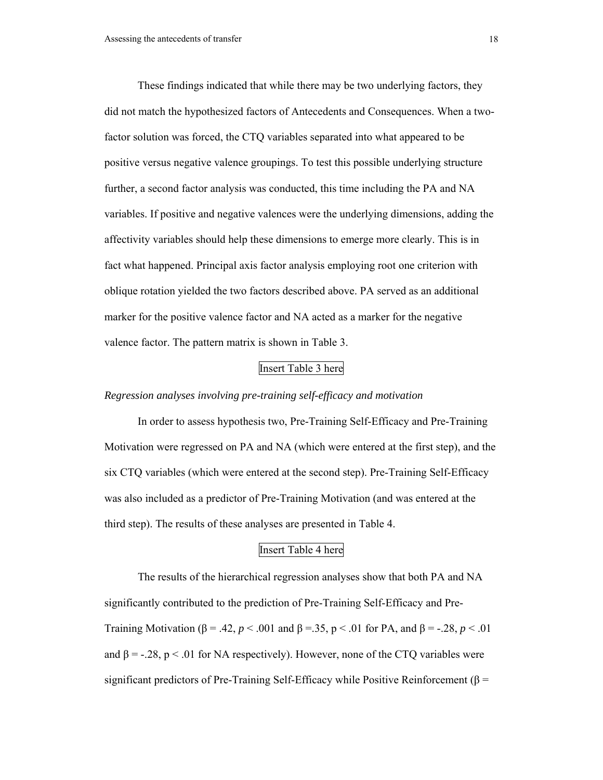These findings indicated that while there may be two underlying factors, they did not match the hypothesized factors of Antecedents and Consequences. When a twofactor solution was forced, the CTQ variables separated into what appeared to be positive versus negative valence groupings. To test this possible underlying structure further, a second factor analysis was conducted, this time including the PA and NA variables. If positive and negative valences were the underlying dimensions, adding the affectivity variables should help these dimensions to emerge more clearly. This is in fact what happened. Principal axis factor analysis employing root one criterion with oblique rotation yielded the two factors described above. PA served as an additional marker for the positive valence factor and NA acted as a marker for the negative valence factor. The pattern matrix is shown in Table 3.

### Insert Table 3 here

### *Regression analyses involving pre-training self-efficacy and motivation*

In order to assess hypothesis two, Pre-Training Self-Efficacy and Pre-Training Motivation were regressed on PA and NA (which were entered at the first step), and the six CTQ variables (which were entered at the second step). Pre-Training Self-Efficacy was also included as a predictor of Pre-Training Motivation (and was entered at the third step). The results of these analyses are presented in Table 4.

### Insert Table 4 here

The results of the hierarchical regression analyses show that both PA and NA significantly contributed to the prediction of Pre-Training Self-Efficacy and Pre-Training Motivation (β = .42, *p* < .001 and β = .35, p < .01 for PA, and β = -.28, *p* < .01 and  $\beta = -.28$ ,  $p < .01$  for NA respectively). However, none of the CTQ variables were significant predictors of Pre-Training Self-Efficacy while Positive Reinforcement ( $\beta$  =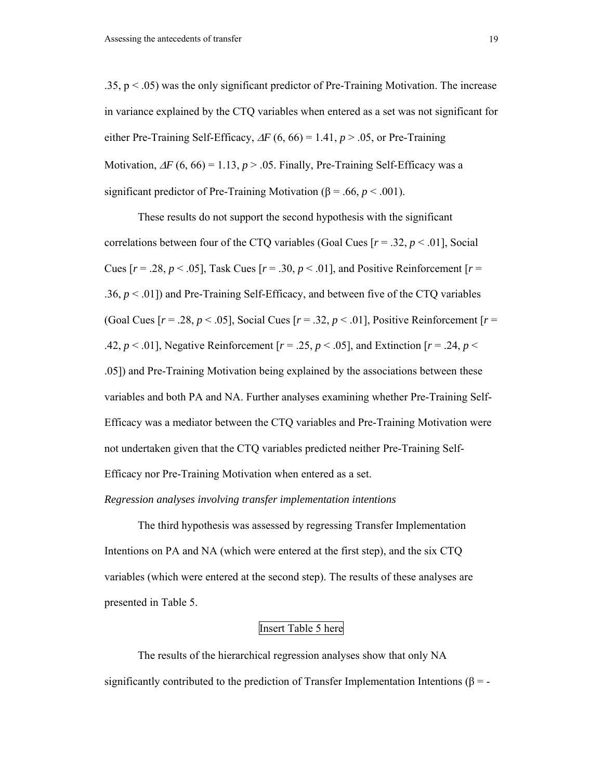.35,  $p < .05$ ) was the only significant predictor of Pre-Training Motivation. The increase in variance explained by the CTQ variables when entered as a set was not significant for either Pre-Training Self-Efficacy,  $\Delta F$  (6, 66) = 1.41, *p* > .05, or Pre-Training Motivation,  $\Delta F$  (6, 66) = 1.13, *p* > .05. Finally, Pre-Training Self-Efficacy was a significant predictor of Pre-Training Motivation ( $\beta$  = .66, *p* < .001).

These results do not support the second hypothesis with the significant correlations between four of the CTQ variables (Goal Cues  $[r = .32, p < .01]$ , Social Cues  $[r = .28, p < .05]$ , Task Cues  $[r = .30, p < .01]$ , and Positive Reinforcement  $[r = .01]$ .36,  $p < 0.01$ ]) and Pre-Training Self-Efficacy, and between five of the CTQ variables (Goal Cues  $[r = .28, p < .05]$ , Social Cues  $[r = .32, p < .01]$ , Positive Reinforcement  $[r = .01]$ .42,  $p < .01$ ], Negative Reinforcement  $[r = .25, p < .05]$ , and Extinction  $[r = .24, p < .05]$ .05]) and Pre-Training Motivation being explained by the associations between these variables and both PA and NA. Further analyses examining whether Pre-Training Self-Efficacy was a mediator between the CTQ variables and Pre-Training Motivation were not undertaken given that the CTQ variables predicted neither Pre-Training Self-Efficacy nor Pre-Training Motivation when entered as a set.

#### *Regression analyses involving transfer implementation intentions*

The third hypothesis was assessed by regressing Transfer Implementation Intentions on PA and NA (which were entered at the first step), and the six CTQ variables (which were entered at the second step). The results of these analyses are presented in Table 5.

### Insert Table 5 here

The results of the hierarchical regression analyses show that only NA significantly contributed to the prediction of Transfer Implementation Intentions ( $\beta$  = -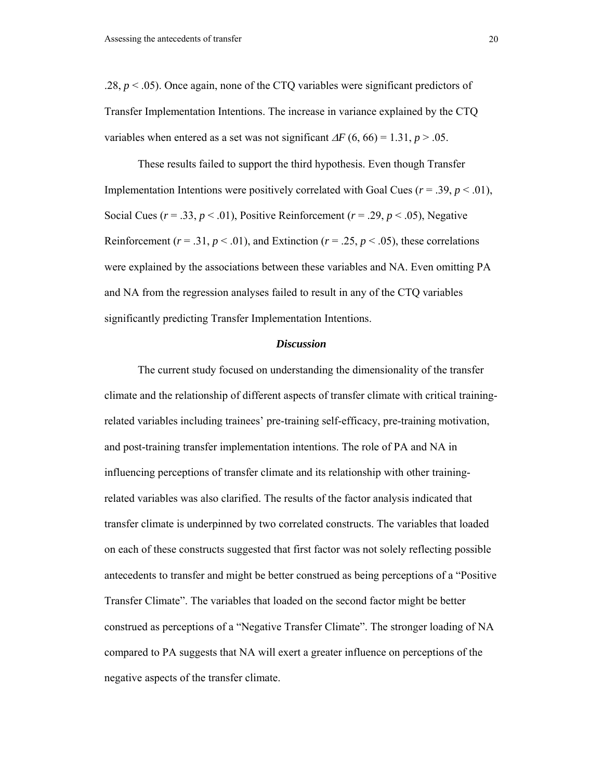.28,  $p < .05$ ). Once again, none of the CTQ variables were significant predictors of Transfer Implementation Intentions. The increase in variance explained by the CTQ variables when entered as a set was not significant  $\Delta F$  (6, 66) = 1.31, *p* > .05.

These results failed to support the third hypothesis. Even though Transfer Implementation Intentions were positively correlated with Goal Cues  $(r = .39, p < .01)$ , Social Cues ( $r = .33$ ,  $p < .01$ ), Positive Reinforcement ( $r = .29$ ,  $p < .05$ ), Negative Reinforcement ( $r = .31$ ,  $p < .01$ ), and Extinction ( $r = .25$ ,  $p < .05$ ), these correlations were explained by the associations between these variables and NA. Even omitting PA and NA from the regression analyses failed to result in any of the CTQ variables significantly predicting Transfer Implementation Intentions.

#### *Discussion*

The current study focused on understanding the dimensionality of the transfer climate and the relationship of different aspects of transfer climate with critical trainingrelated variables including trainees' pre-training self-efficacy, pre-training motivation, and post-training transfer implementation intentions. The role of PA and NA in influencing perceptions of transfer climate and its relationship with other trainingrelated variables was also clarified. The results of the factor analysis indicated that transfer climate is underpinned by two correlated constructs. The variables that loaded on each of these constructs suggested that first factor was not solely reflecting possible antecedents to transfer and might be better construed as being perceptions of a "Positive Transfer Climate". The variables that loaded on the second factor might be better construed as perceptions of a "Negative Transfer Climate". The stronger loading of NA compared to PA suggests that NA will exert a greater influence on perceptions of the negative aspects of the transfer climate.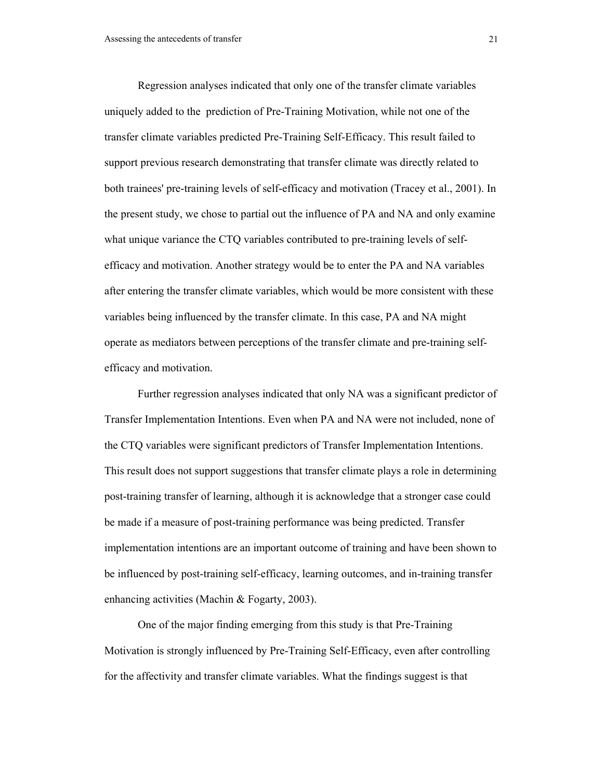Regression analyses indicated that only one of the transfer climate variables uniquely added to the prediction of Pre-Training Motivation, while not one of the transfer climate variables predicted Pre-Training Self-Efficacy. This result failed to support previous research demonstrating that transfer climate was directly related to both trainees' pre-training levels of self-efficacy and motivation (Tracey et al., 2001). In the present study, we chose to partial out the influence of PA and NA and only examine what unique variance the CTQ variables contributed to pre-training levels of selfefficacy and motivation. Another strategy would be to enter the PA and NA variables after entering the transfer climate variables, which would be more consistent with these variables being influenced by the transfer climate. In this case, PA and NA might operate as mediators between perceptions of the transfer climate and pre-training selfefficacy and motivation.

Further regression analyses indicated that only NA was a significant predictor of Transfer Implementation Intentions. Even when PA and NA were not included, none of the CTQ variables were significant predictors of Transfer Implementation Intentions. This result does not support suggestions that transfer climate plays a role in determining post-training transfer of learning, although it is acknowledge that a stronger case could be made if a measure of post-training performance was being predicted. Transfer implementation intentions are an important outcome of training and have been shown to be influenced by post-training self-efficacy, learning outcomes, and in-training transfer enhancing activities (Machin & Fogarty, 2003).

One of the major finding emerging from this study is that Pre-Training Motivation is strongly influenced by Pre-Training Self-Efficacy, even after controlling for the affectivity and transfer climate variables. What the findings suggest is that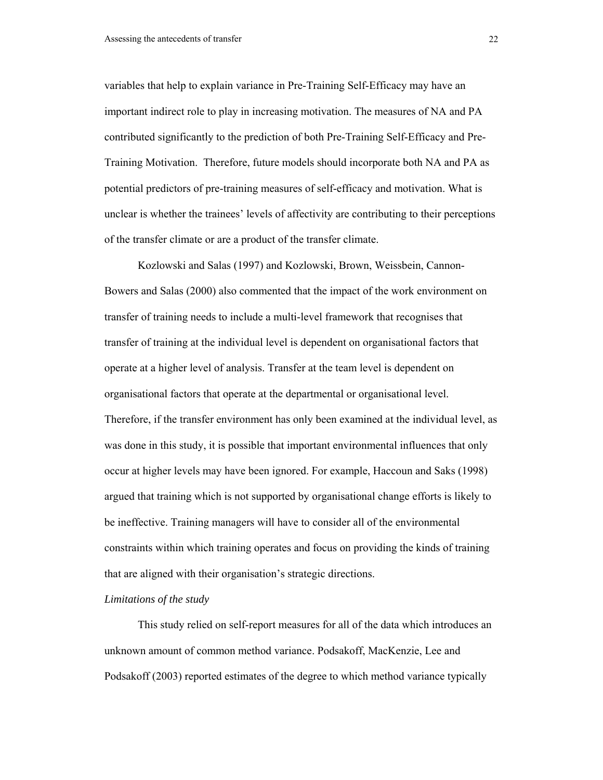variables that help to explain variance in Pre-Training Self-Efficacy may have an important indirect role to play in increasing motivation. The measures of NA and PA contributed significantly to the prediction of both Pre-Training Self-Efficacy and Pre-Training Motivation. Therefore, future models should incorporate both NA and PA as potential predictors of pre-training measures of self-efficacy and motivation. What is unclear is whether the trainees' levels of affectivity are contributing to their perceptions of the transfer climate or are a product of the transfer climate.

Kozlowski and Salas (1997) and Kozlowski, Brown, Weissbein, Cannon-Bowers and Salas (2000) also commented that the impact of the work environment on transfer of training needs to include a multi-level framework that recognises that transfer of training at the individual level is dependent on organisational factors that operate at a higher level of analysis. Transfer at the team level is dependent on organisational factors that operate at the departmental or organisational level. Therefore, if the transfer environment has only been examined at the individual level, as was done in this study, it is possible that important environmental influences that only occur at higher levels may have been ignored. For example, Haccoun and Saks (1998) argued that training which is not supported by organisational change efforts is likely to be ineffective. Training managers will have to consider all of the environmental constraints within which training operates and focus on providing the kinds of training that are aligned with their organisation's strategic directions.

#### *Limitations of the study*

This study relied on self-report measures for all of the data which introduces an unknown amount of common method variance. Podsakoff, MacKenzie, Lee and Podsakoff (2003) reported estimates of the degree to which method variance typically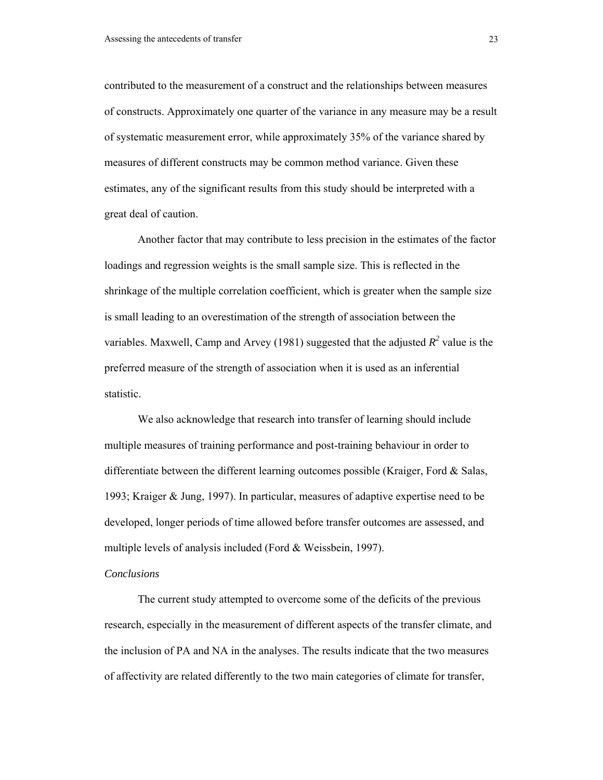contributed to the measurement of a construct and the relationships between measures of constructs. Approximately one quarter of the variance in any measure may be a result of systematic measurement error, while approximately 35% of the variance shared by measures of different constructs may be common method variance. Given these estimates, any of the significant results from this study should be interpreted with a great deal of caution.

Another factor that may contribute to less precision in the estimates of the factor loadings and regression weights is the small sample size. This is reflected in the shrinkage of the multiple correlation coefficient, which is greater when the sample size is small leading to an overestimation of the strength of association between the variables. Maxwell, Camp and Arvey (1981) suggested that the adjusted  $R^2$  value is the preferred measure of the strength of association when it is used as an inferential statistic.

We also acknowledge that research into transfer of learning should include multiple measures of training performance and post-training behaviour in order to differentiate between the different learning outcomes possible (Kraiger, Ford  $\&$  Salas, 1993; Kraiger & Jung, 1997). In particular, measures of adaptive expertise need to be developed, longer periods of time allowed before transfer outcomes are assessed, and multiple levels of analysis included (Ford & Weissbein, 1997).

### *Conclusions*

The current study attempted to overcome some of the deficits of the previous research, especially in the measurement of different aspects of the transfer climate, and the inclusion of PA and NA in the analyses. The results indicate that the two measures of affectivity are related differently to the two main categories of climate for transfer,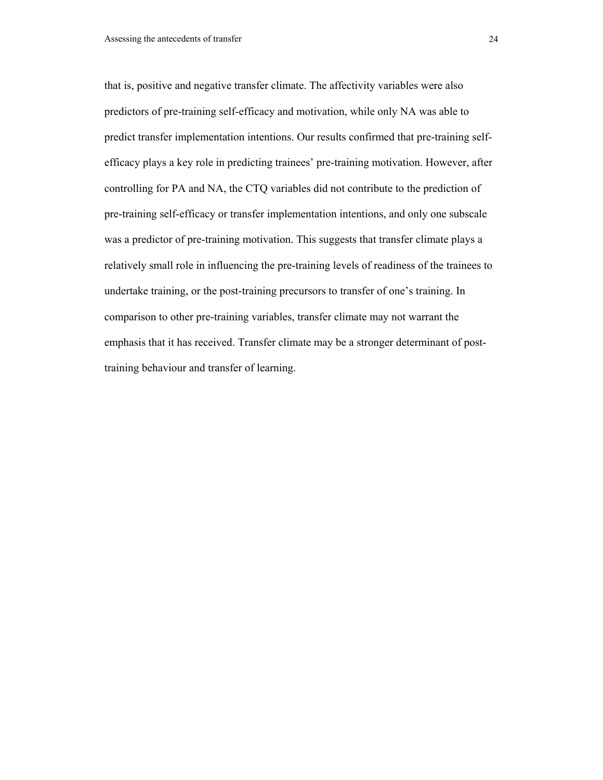that is, positive and negative transfer climate. The affectivity variables were also predictors of pre-training self-efficacy and motivation, while only NA was able to predict transfer implementation intentions. Our results confirmed that pre-training selfefficacy plays a key role in predicting trainees' pre-training motivation. However, after controlling for PA and NA, the CTQ variables did not contribute to the prediction of pre-training self-efficacy or transfer implementation intentions, and only one subscale was a predictor of pre-training motivation. This suggests that transfer climate plays a relatively small role in influencing the pre-training levels of readiness of the trainees to undertake training, or the post-training precursors to transfer of one's training. In comparison to other pre-training variables, transfer climate may not warrant the emphasis that it has received. Transfer climate may be a stronger determinant of posttraining behaviour and transfer of learning.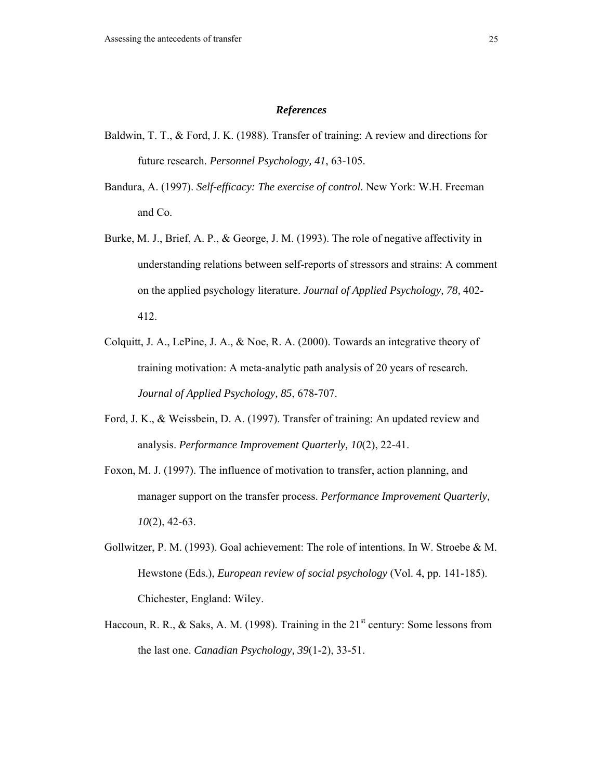#### *References*

- Baldwin, T. T., & Ford, J. K. (1988). Transfer of training: A review and directions for future research. *Personnel Psychology, 41*, 63-105.
- Bandura, A. (1997). *Self-efficacy: The exercise of control.* New York: W.H. Freeman and Co.
- Burke, M. J., Brief, A. P., & George, J. M. (1993). The role of negative affectivity in understanding relations between self-reports of stressors and strains: A comment on the applied psychology literature. *Journal of Applied Psychology, 78,* 402- 412.
- Colquitt, J. A., LePine, J. A., & Noe, R. A. (2000). Towards an integrative theory of training motivation: A meta-analytic path analysis of 20 years of research. *Journal of Applied Psychology, 85*, 678-707.
- Ford, J. K., & Weissbein, D. A. (1997). Transfer of training: An updated review and analysis. *Performance Improvement Quarterly, 10*(2), 22-41.
- Foxon, M. J. (1997). The influence of motivation to transfer, action planning, and manager support on the transfer process. *Performance Improvement Quarterly, 10*(2), 42-63.
- Gollwitzer, P. M. (1993). Goal achievement: The role of intentions. In W. Stroebe & M. Hewstone (Eds.), *European review of social psychology* (Vol. 4, pp. 141-185). Chichester, England: Wiley.
- Haccoun, R. R., & Saks, A. M. (1998). Training in the  $21<sup>st</sup>$  century: Some lessons from the last one. *Canadian Psychology, 39*(1-2), 33-51.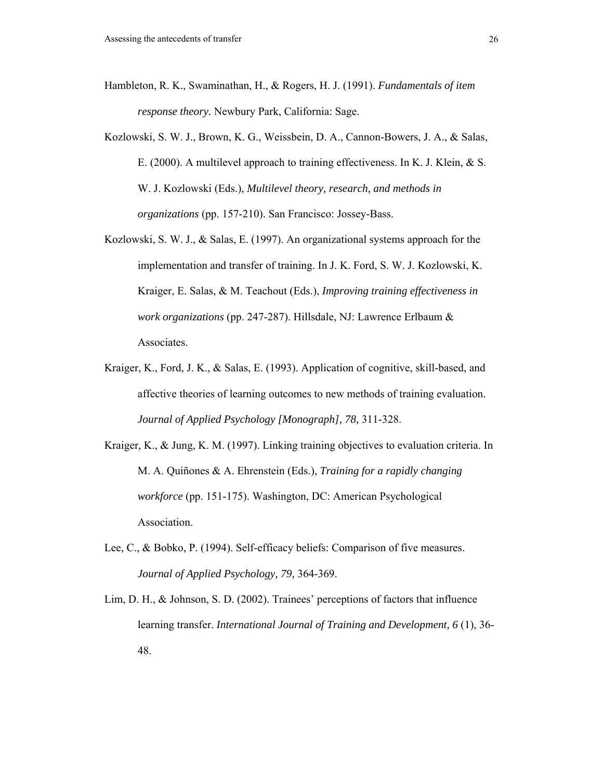- Hambleton, R. K., Swaminathan, H., & Rogers, H. J. (1991). *Fundamentals of item response theory.* Newbury Park, California: Sage.
- Kozlowski, S. W. J., Brown, K. G., Weissbein, D. A., Cannon-Bowers, J. A., & Salas, E. (2000). A multilevel approach to training effectiveness. In K. J. Klein, & S. W. J. Kozlowski (Eds.), *Multilevel theory, research, and methods in organizations* (pp. 157-210). San Francisco: Jossey-Bass.
- Kozlowski, S. W. J., & Salas, E. (1997). An organizational systems approach for the implementation and transfer of training. In J. K. Ford, S. W. J. Kozlowski, K. Kraiger, E. Salas, & M. Teachout (Eds.), *Improving training effectiveness in work organizations* (pp. 247-287). Hillsdale, NJ: Lawrence Erlbaum & Associates.
- Kraiger, K., Ford, J. K., & Salas, E. (1993). Application of cognitive, skill-based, and affective theories of learning outcomes to new methods of training evaluation. *Journal of Applied Psychology [Monograph], 78,* 311-328.
- Kraiger, K., & Jung, K. M. (1997). Linking training objectives to evaluation criteria. In M. A. Quiñones & A. Ehrenstein (Eds.), *Training for a rapidly changing workforce* (pp. 151-175). Washington, DC: American Psychological Association.
- Lee, C., & Bobko, P. (1994). Self-efficacy beliefs: Comparison of five measures. *Journal of Applied Psychology, 79,* 364-369.
- Lim, D. H., & Johnson, S. D. (2002). Trainees' perceptions of factors that influence learning transfer. *International Journal of Training and Development, 6* (1), 36- 48.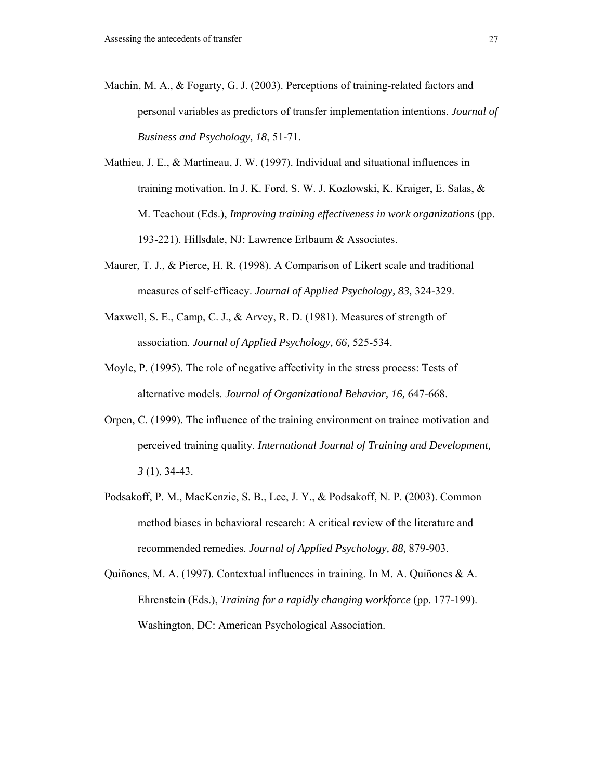- Machin, M. A., & Fogarty, G. J. (2003). Perceptions of training-related factors and personal variables as predictors of transfer implementation intentions. *Journal of Business and Psychology, 18*, 51-71.
- Mathieu, J. E., & Martineau, J. W. (1997). Individual and situational influences in training motivation. In J. K. Ford, S. W. J. Kozlowski, K. Kraiger, E. Salas, & M. Teachout (Eds.), *Improving training effectiveness in work organizations* (pp. 193-221). Hillsdale, NJ: Lawrence Erlbaum & Associates.
- Maurer, T. J., & Pierce, H. R. (1998). A Comparison of Likert scale and traditional measures of self-efficacy. *Journal of Applied Psychology, 83,* 324-329.
- Maxwell, S. E., Camp, C. J., & Arvey, R. D. (1981). Measures of strength of association. *Journal of Applied Psychology, 66,* 525-534.
- Moyle, P. (1995). The role of negative affectivity in the stress process: Tests of alternative models. *Journal of Organizational Behavior, 16,* 647-668.
- Orpen, C. (1999). The influence of the training environment on trainee motivation and perceived training quality. *International Journal of Training and Development, 3* (1), 34-43.
- Podsakoff, P. M., MacKenzie, S. B., Lee, J. Y., & Podsakoff, N. P. (2003). Common method biases in behavioral research: A critical review of the literature and recommended remedies. *Journal of Applied Psychology, 88,* 879-903.
- Quiñones, M. A. (1997). Contextual influences in training. In M. A. Quiñones & A. Ehrenstein (Eds.), *Training for a rapidly changing workforce* (pp. 177-199). Washington, DC: American Psychological Association.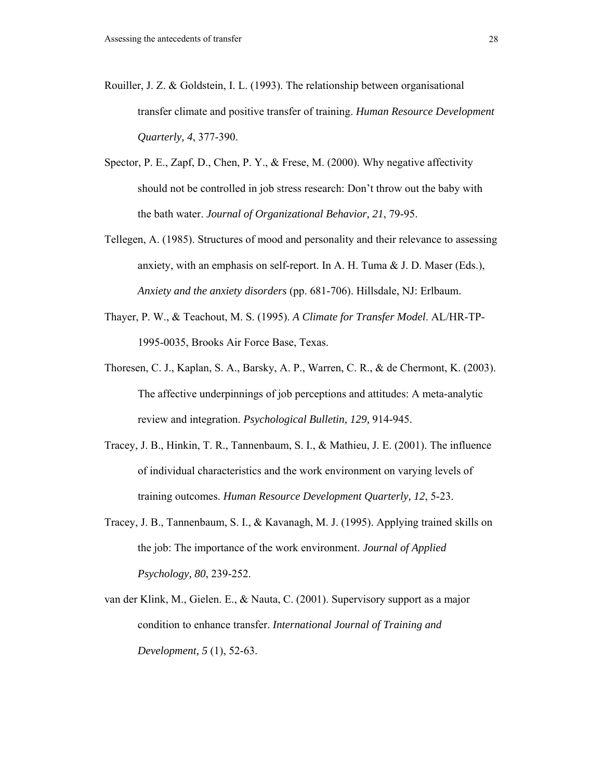- Rouiller, J. Z. & Goldstein, I. L. (1993). The relationship between organisational transfer climate and positive transfer of training. *Human Resource Development Quarterly, 4*, 377-390.
- Spector, P. E., Zapf, D., Chen, P. Y., & Frese, M. (2000). Why negative affectivity should not be controlled in job stress research: Don't throw out the baby with the bath water. *Journal of Organizational Behavior, 21*, 79-95.
- Tellegen, A. (1985). Structures of mood and personality and their relevance to assessing anxiety, with an emphasis on self-report. In A. H. Tuma & J. D. Maser (Eds.), *Anxiety and the anxiety disorders* (pp. 681-706). Hillsdale, NJ: Erlbaum.
- Thayer, P. W., & Teachout, M. S. (1995). *A Climate for Transfer Model*. AL/HR-TP-1995-0035, Brooks Air Force Base, Texas.
- Thoresen, C. J., Kaplan, S. A., Barsky, A. P., Warren, C. R., & de Chermont, K. (2003). The affective underpinnings of job perceptions and attitudes: A meta-analytic review and integration. *Psychological Bulletin, 129,* 914-945.
- Tracey, J. B., Hinkin, T. R., Tannenbaum, S. I., & Mathieu, J. E. (2001). The influence of individual characteristics and the work environment on varying levels of training outcomes. *Human Resource Development Quarterly, 12*, 5-23.
- Tracey, J. B., Tannenbaum, S. I., & Kavanagh, M. J. (1995). Applying trained skills on the job: The importance of the work environment. *Journal of Applied Psychology, 80*, 239-252.
- van der Klink, M., Gielen. E., & Nauta, C. (2001). Supervisory support as a major condition to enhance transfer. *International Journal of Training and Development, 5* (1), 52-63.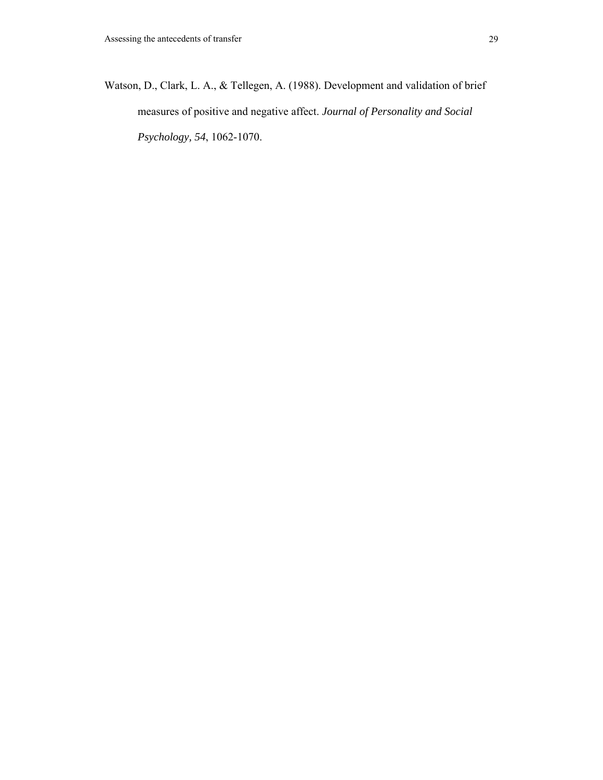Watson, D., Clark, L. A., & Tellegen, A. (1988). Development and validation of brief measures of positive and negative affect. *Journal of Personality and Social Psychology, 54*, 1062-1070.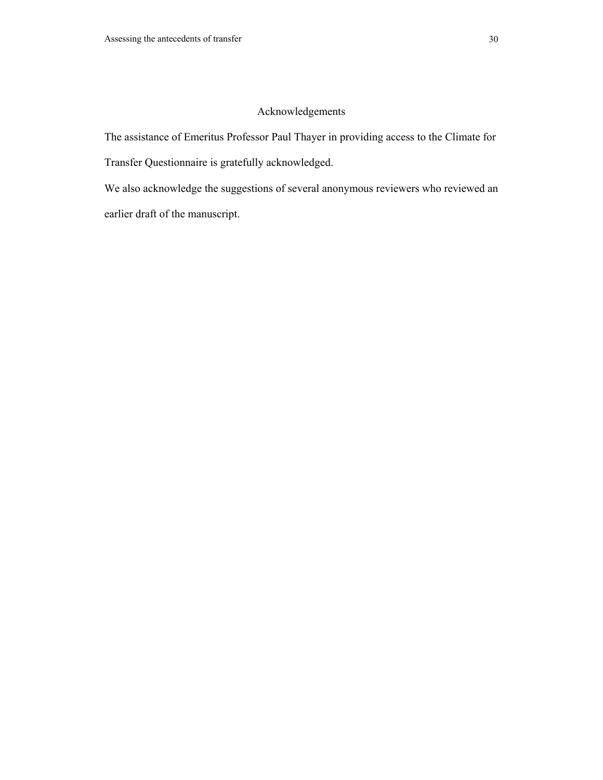## Acknowledgements

The assistance of Emeritus Professor Paul Thayer in providing access to the Climate for

Transfer Questionnaire is gratefully acknowledged.

We also acknowledge the suggestions of several anonymous reviewers who reviewed an earlier draft of the manuscript.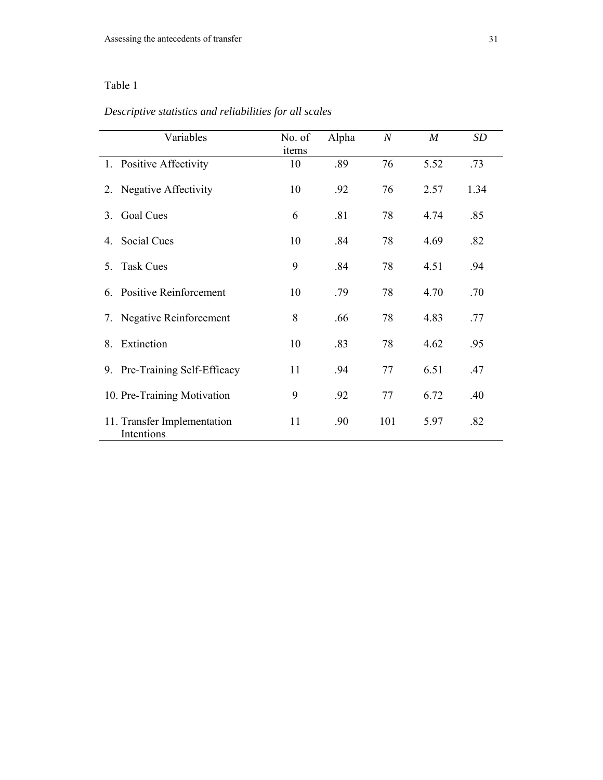## *Descriptive statistics and reliabilities for all scales*

| Variables                                 | No. of<br>items | Alpha | $\boldsymbol{N}$ | $\boldsymbol{M}$ | SD   |
|-------------------------------------------|-----------------|-------|------------------|------------------|------|
| 1. Positive Affectivity                   | 10              | .89   | 76               | 5.52             | .73  |
| 2. Negative Affectivity                   | 10              | .92   | 76               | 2.57             | 1.34 |
| Goal Cues<br>3                            | 6               | .81   | 78               | 4.74             | .85  |
| Social Cues<br>4                          | 10              | .84   | 78               | 4.69             | .82  |
| <b>Task Cues</b><br>5.                    | 9               | .84   | 78               | 4.51             | .94  |
| <b>Positive Reinforcement</b><br>6.       | 10              | .79   | 78               | 4.70             | .70  |
| Negative Reinforcement<br>7.              | 8               | .66   | 78               | 4.83             | .77  |
| Extinction<br>8.                          | 10              | .83   | 78               | 4.62             | .95  |
| 9. Pre-Training Self-Efficacy             | 11              | .94   | 77               | 6.51             | .47  |
| 10. Pre-Training Motivation               | 9               | .92   | 77               | 6.72             | .40  |
| 11. Transfer Implementation<br>Intentions | 11              | .90   | 101              | 5.97             | .82  |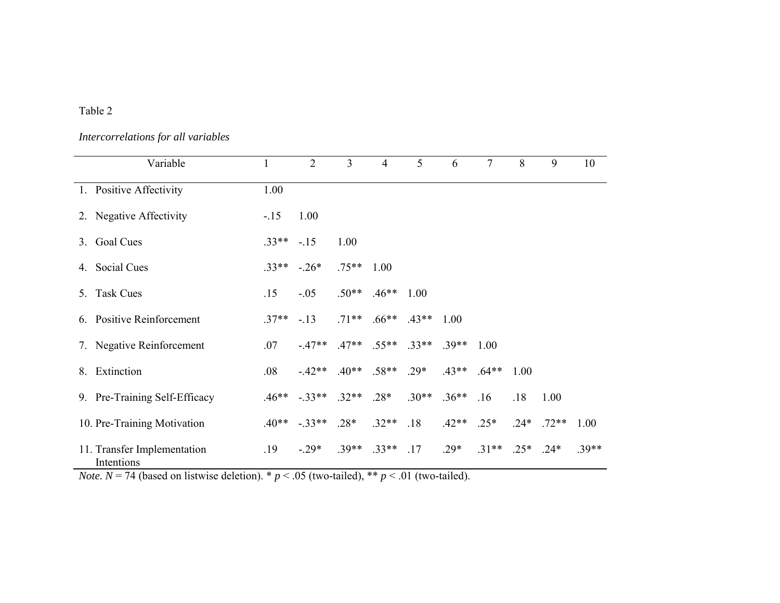## *Intercorrelations for all variables*

| Variable                                  | 1            | $\overline{2}$                    | 3       | $\overline{4}$          | 5       | 6       | 7       | 8      | 9       | 10      |
|-------------------------------------------|--------------|-----------------------------------|---------|-------------------------|---------|---------|---------|--------|---------|---------|
| 1. Positive Affectivity                   | 1.00         |                                   |         |                         |         |         |         |        |         |         |
| 2. Negative Affectivity                   | $-.15$       | 1.00                              |         |                         |         |         |         |        |         |         |
| 3. Goal Cues                              | $.33***-.15$ |                                   | 1.00    |                         |         |         |         |        |         |         |
| 4. Social Cues                            | $.33**$      | $-26*$                            | $.75**$ | 1.00                    |         |         |         |        |         |         |
| 5. Task Cues                              | .15          | $-.05$                            |         | $.50**$ $.46**$ 1.00    |         |         |         |        |         |         |
| 6. Positive Reinforcement                 | $.37**$      | $-.13$                            |         | $.71***$ .66** .43**    |         | 1.00    |         |        |         |         |
| 7. Negative Reinforcement                 | .07          | $-47**$                           |         | $.47**$ $.55**$ $.33**$ |         | $.39**$ | 1.00    |        |         |         |
| 8. Extinction                             | .08          | $-42**$ $40**$ .58**              |         |                         | $.29*$  | $.43**$ | $.64**$ | 1.00   |         |         |
| 9. Pre-Training Self-Efficacy             |              | $.46**$ $-.33**$ $.32**$ $.28*$   |         |                         | $.30**$ | $.36**$ | .16     | .18    | 1.00    |         |
| 10. Pre-Training Motivation               |              | $.40^{***}$ $-.33^{**}$ $.28^{*}$ |         | $.32**$                 | .18     | $.42**$ | $.25*$  | $.24*$ | $.72**$ | 1.00    |
| 11. Transfer Implementation<br>Intentions | .19          | $-.29*$                           | $.39**$ | $.33**$                 | .17     | $.29*$  | $.31**$ | $.25*$ | $.24*$  | $.39**$ |

*Note.*  $N = 74$  (based on listwise deletion).  $* p < .05$  (two-tailed),  $* p < .01$  (two-tailed).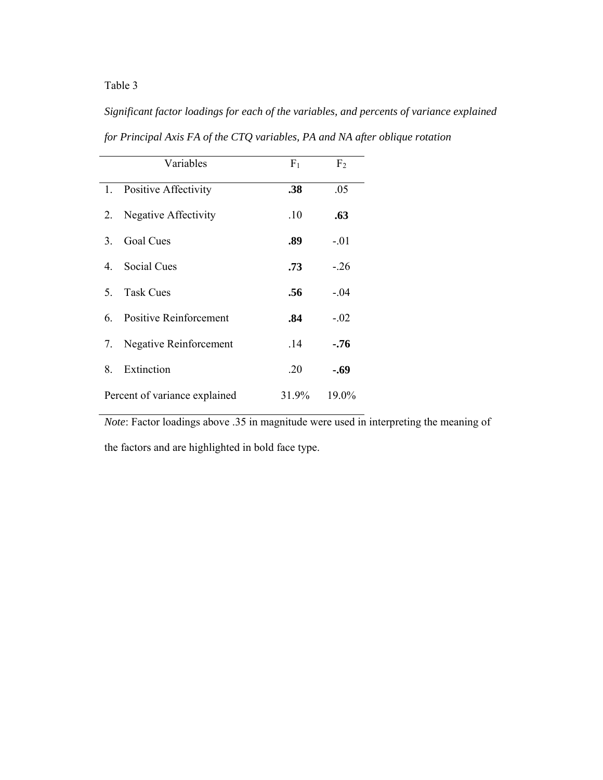*Significant factor loadings for each of the variables, and percents of variance explained for Principal Axis FA of the CTQ variables, PA and NA after oblique rotation* 

|    | Variables                     | F <sub>1</sub> | F <sub>2</sub> |
|----|-------------------------------|----------------|----------------|
|    | 1. Positive Affectivity       | .38            | .05            |
| 2. | <b>Negative Affectivity</b>   | .10            | .63            |
| 3  | <b>Goal Cues</b>              | .89            | $-.01$         |
| 4  | Social Cues                   | .73            | $-26$          |
| 5  | <b>Task Cues</b>              | .56            | $-.04$         |
| 6  | <b>Positive Reinforcement</b> | .84            | $-.02$         |
| 7. | <b>Negative Reinforcement</b> | .14            | $-.76$         |
| 8. | Extinction                    | .20            | -.69           |
|    | Percent of variance explained | 31.9%          | 19.0%          |

*Note*: Factor loadings above .35 in magnitude were used in interpreting the meaning of

the factors and are highlighted in bold face type.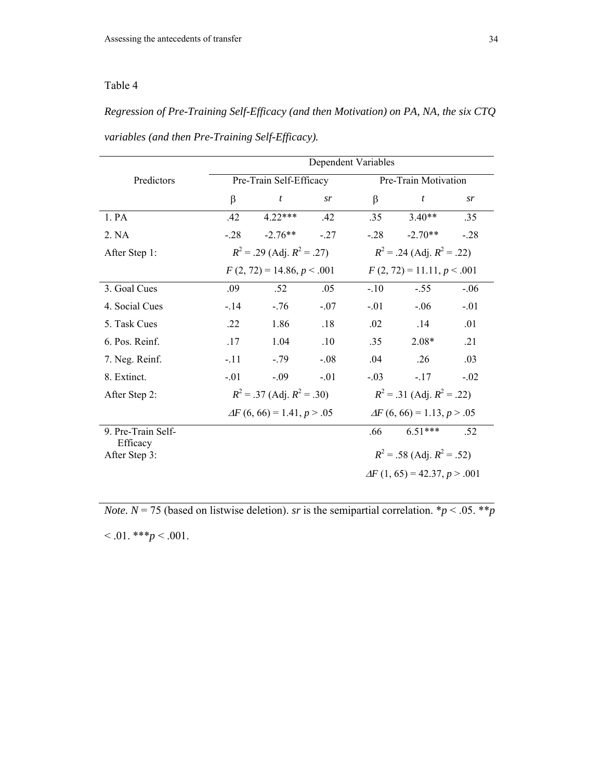*Regression of Pre-Training Self-Efficacy (and then Motivation) on PA, NA, the six CTQ variables (and then Pre-Training Self-Efficacy).* 

|                                | Dependent Variables                                              |                              |        |                                    |                                      |        |  |
|--------------------------------|------------------------------------------------------------------|------------------------------|--------|------------------------------------|--------------------------------------|--------|--|
| Predictors                     | Pre-Train Self-Efficacy                                          |                              |        | Pre-Train Motivation               |                                      |        |  |
|                                | β                                                                | t                            | sr     | β                                  | t                                    | sr     |  |
| 1. PA                          | .42                                                              | $4.22***$                    | .42    | .35                                | $3.40**$                             | .35    |  |
| 2. NA                          | $-.28$                                                           | $-2.76**$                    | $-.27$ | $-.28$                             | $-2.70**$                            | $-.28$ |  |
| After Step 1:                  | $R^2$ = .29 (Adj. $R^2$ = .27)                                   |                              |        | $R^2$ = .24 (Adj. $R^2$ = .22)     |                                      |        |  |
|                                |                                                                  | $F(2, 72) = 14.86, p < .001$ |        | $F(2, 72) = 11.11, p < .001$       |                                      |        |  |
| 3. Goal Cues                   | .09                                                              | .52                          | .05    | $-.10$                             | $-.55$                               | $-.06$ |  |
| 4. Social Cues                 | $-14$                                                            | $-.76$                       | $-.07$ | $-.01$                             | $-0.06$                              | $-.01$ |  |
| 5. Task Cues                   | .22                                                              | 1.86                         | .18    | $.02\,$                            | .14                                  | .01    |  |
| 6. Pos. Reinf.                 | .17                                                              | 1.04                         | .10    | .35                                | $2.08*$                              | .21    |  |
| 7. Neg. Reinf.                 | $-.11$                                                           | $-.79$                       | $-.08$ | .04                                | .26                                  | .03    |  |
| 8. Extinct.                    | $-.01$                                                           | $-.09$                       | $-.01$ | $-.03$                             | $-.17$                               | $-.02$ |  |
| After Step 2:                  | $R^2$ = .31 (Adj. $R^2$ = .22)<br>$R^2$ = .37 (Adj. $R^2$ = .30) |                              |        |                                    |                                      |        |  |
|                                | $\Delta F$ (6, 66) = 1.41, $p > .05$                             |                              |        | $\Delta F$ (6, 66) = 1.13, p > .05 |                                      |        |  |
| 9. Pre-Train Self-<br>Efficacy |                                                                  |                              |        | .66                                | $6.51***$                            | .52    |  |
| After Step 3:                  | $R^2$ = .58 (Adj. $R^2$ = .52)                                   |                              |        |                                    |                                      |        |  |
|                                |                                                                  |                              |        |                                    | $\Delta F$ (1, 65) = 42.37, p > .001 |        |  |
|                                |                                                                  |                              |        |                                    |                                      |        |  |

*Note.*  $N = 75$  (based on listwise deletion). *sr* is the semipartial correlation. \**p* < .05. \*\**p*  $< 0.01.$ \*\*\* $p < 0.001.$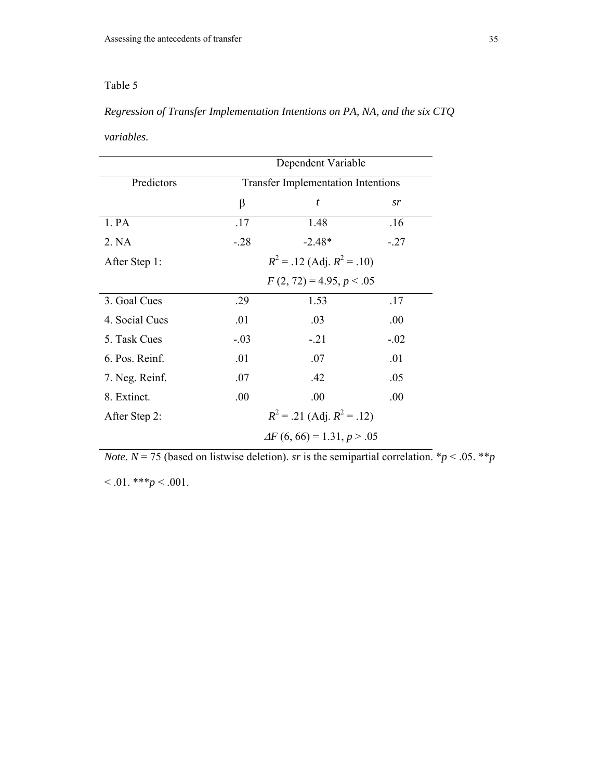## *Regression of Transfer Implementation Intentions on PA, NA, and the six CTQ*

*variables.* 

|                | Dependent Variable                        |                  |        |  |  |  |  |
|----------------|-------------------------------------------|------------------|--------|--|--|--|--|
| Predictors     | <b>Transfer Implementation Intentions</b> |                  |        |  |  |  |  |
|                | β                                         | $\boldsymbol{t}$ | sr     |  |  |  |  |
| 1. PA          | .17                                       | 1.48             | .16    |  |  |  |  |
| 2. NA          | $-28$                                     | $-2.48*$         | $-.27$ |  |  |  |  |
| After Step 1:  | $R^2$ = .12 (Adj. $R^2$ = .10)            |                  |        |  |  |  |  |
|                | $F(2, 72) = 4.95, p < .05$                |                  |        |  |  |  |  |
| 3. Goal Cues   | .29                                       | 1.53             | .17    |  |  |  |  |
| 4. Social Cues | .01                                       | .03              | .00    |  |  |  |  |
| 5. Task Cues   | $-.03$                                    | $-21$            | $-.02$ |  |  |  |  |
| 6. Pos. Reinf. | .01                                       | .07              | .01    |  |  |  |  |
| 7. Neg. Reinf. | .07                                       | .42              | .05    |  |  |  |  |
| 8. Extinct.    | .00.                                      | .00              | .00.   |  |  |  |  |
| After Step 2:  | $R^2$ = .21 (Adj. $R^2$ = .12)            |                  |        |  |  |  |  |
|                | $\Delta F (6, 66) = 1.31, p > .05$        |                  |        |  |  |  |  |

*Note.*  $N = 75$  (based on listwise deletion). *sr* is the semipartial correlation. \* $p < .05$ . \*\* $p$ 

 $< .01.$ \*\*\* $p < .001.$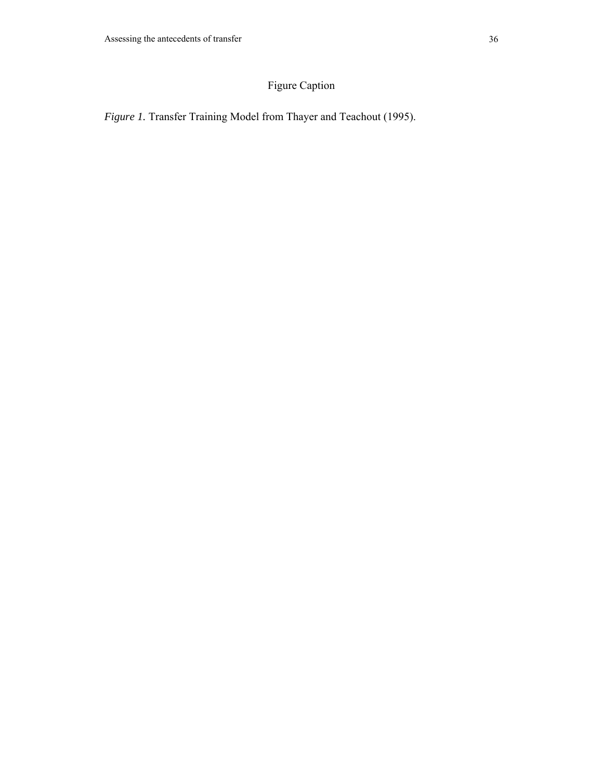# Figure Caption

*Figure 1.* Transfer Training Model from Thayer and Teachout (1995).